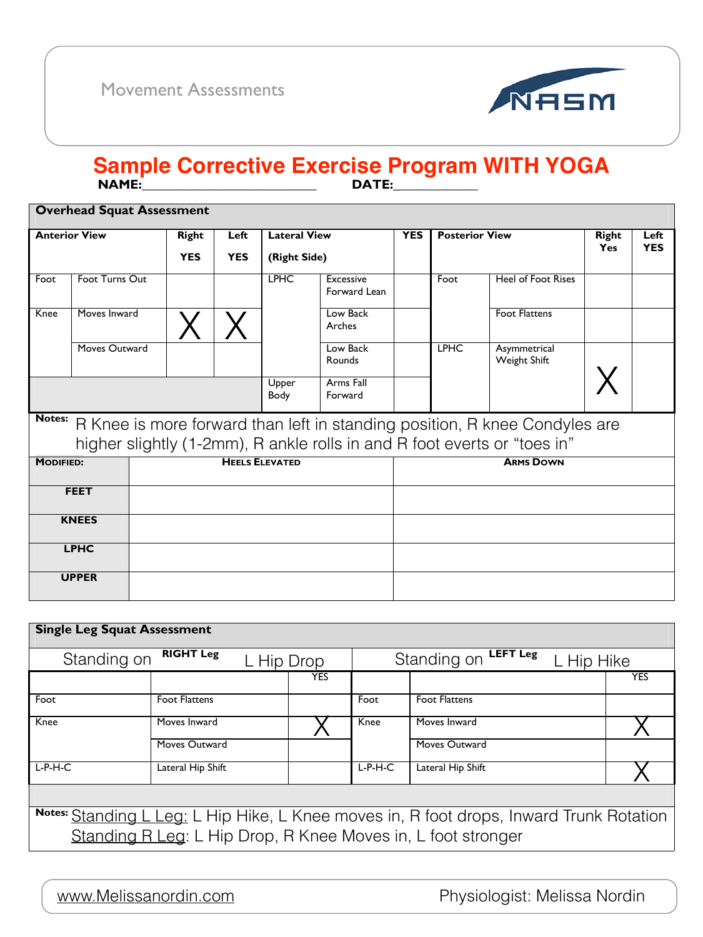|                                                                                                                                                                  | <b>Overhead Squat Assessment</b> |            |                     |              |                                  |                       |             |                                     |                    |  |
|------------------------------------------------------------------------------------------------------------------------------------------------------------------|----------------------------------|------------|---------------------|--------------|----------------------------------|-----------------------|-------------|-------------------------------------|--------------------|--|
| <b>Anterior View</b><br><b>Right</b>                                                                                                                             |                                  | Left       | <b>Lateral View</b> |              | <b>YES</b>                       | <b>Posterior View</b> |             | <b>Right</b><br><b>Yes</b>          | Left<br><b>YES</b> |  |
|                                                                                                                                                                  |                                  | <b>YES</b> | <b>YES</b>          | (Right Side) |                                  |                       |             |                                     |                    |  |
| Foot                                                                                                                                                             | Foot Turns Out                   |            |                     | <b>LPHC</b>  | <b>Excessive</b><br>Forward Lean |                       | Foot        | <b>Heel of Foot Rises</b>           |                    |  |
| Knee                                                                                                                                                             | Moves Inward                     |            |                     |              | Low Back<br>Arches               |                       |             | <b>Foot Flattens</b>                |                    |  |
|                                                                                                                                                                  | Moves Outward                    |            |                     |              | Low Back<br>Rounds               |                       | <b>LPHC</b> | Asymmetrical<br><b>Weight Shift</b> |                    |  |
| Upper<br>Arms Fall<br>Body<br>Forward                                                                                                                            |                                  |            |                     |              |                                  |                       |             |                                     |                    |  |
| Notes:<br>R Knee is more forward than left in standing position, R knee Condyles are<br>higher slightly (1-2mm), R ankle rolls in and R foot everts or "toes in" |                                  |            |                     |              |                                  |                       |             |                                     |                    |  |

| $\tilde{\phantom{a}}$ |                       |                  |
|-----------------------|-----------------------|------------------|
| <b>MODIFIED:</b>      | <b>HEELS ELEVATED</b> | <b>ARMS DOWN</b> |
| <b>FEET</b>           |                       |                  |
| <b>KNEES</b>          |                       |                  |
| <b>LPHC</b>           |                       |                  |
| <b>UPPER</b>          |                       |                  |

"# [www.Melissanordin.com](http://www.Melissanordin.com) Physiologist: Melissa Nordin

<u>rement Assessments</u> Movement Assessments



### **!"#\$%&&&&&&&&&&&&&&&&&&&&&&&&&&&' (")\$%&&&&&&&&&&&&& Sample Corrective Exercise Program WITH YOGA**

| <b>Single Leg Squat Assessment</b>                                                      |                                |            |                                              |                      |            |  |
|-----------------------------------------------------------------------------------------|--------------------------------|------------|----------------------------------------------|----------------------|------------|--|
| Standing on                                                                             | <b>RIGHT Leg</b><br>L Hip Drop |            | <b>LEFT Leg</b><br>Standing on<br>L Hip Hike |                      |            |  |
|                                                                                         |                                | <b>YES</b> |                                              |                      | <b>YES</b> |  |
| Foot                                                                                    | <b>Foot Flattens</b>           |            | Foot                                         | <b>Foot Flattens</b> |            |  |
| Knee                                                                                    | Moves Inward                   |            | Knee                                         | Moves Inward         |            |  |
|                                                                                         | Moves Outward                  |            |                                              | Moves Outward        |            |  |
| $L-P-H-C$                                                                               | Lateral Hip Shift              |            | $L-P-H-C$                                    | Lateral Hip Shift    |            |  |
|                                                                                         |                                |            |                                              |                      |            |  |
| Notes: Standing L Leg: L Hip Hike, L Knee moves in, R foot drops, Inward Trunk Rotation |                                |            |                                              |                      |            |  |
| Standing R Leg: L Hip Drop, R Knee Moves in, L foot stronger                            |                                |            |                                              |                      |            |  |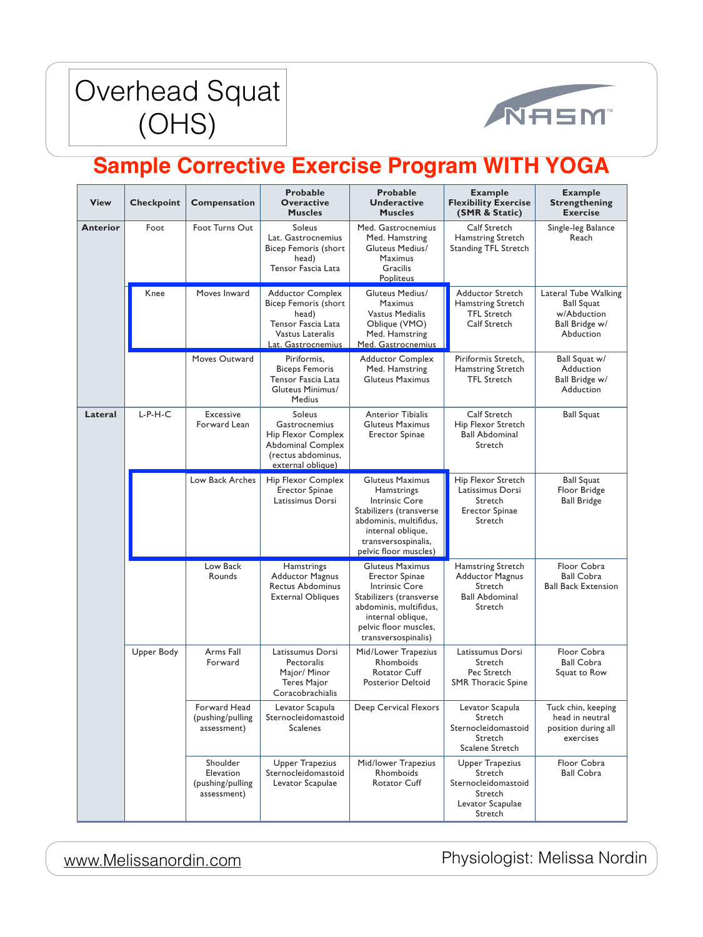



| <b>View</b>     | <b>Checkpoint</b>                                | <b>Compensation</b>                                                        | <b>Probable</b><br><b>Overactive</b><br><b>Muscles</b>                                                                             | <b>Probable</b><br><b>Underactive</b><br><b>Muscles</b>                                                                                                                                            | <b>Example</b><br><b>Flexibility Exercise</b><br>(SMR & Static)                                    | <b>Example</b><br><b>Strengthening</b><br><b>Exercise</b>                               |
|-----------------|--------------------------------------------------|----------------------------------------------------------------------------|------------------------------------------------------------------------------------------------------------------------------------|----------------------------------------------------------------------------------------------------------------------------------------------------------------------------------------------------|----------------------------------------------------------------------------------------------------|-----------------------------------------------------------------------------------------|
| <b>Anterior</b> | Foot                                             | Foot Turns Out                                                             | Soleus<br>Lat. Gastrocnemius<br><b>Bicep Femoris (short</b><br>head)<br>Tensor Fascia Lata                                         | Med. Gastrocnemius<br>Med. Hamstring<br><b>Gluteus Medius/</b><br><b>Maximus</b><br>Gracilis<br>Popliteus                                                                                          | <b>Calf Stretch</b><br>Hamstring Stretch<br><b>Standing TFL Stretch</b>                            | Single-leg Balance<br>Reach                                                             |
|                 | Knee                                             | Moves Inward                                                               | <b>Adductor Complex</b><br><b>Bicep Femoris (short</b><br>head)<br>Tensor Fascia Lata<br>Vastus Lateralis<br>Lat. Gastrocnemius    | <b>Gluteus Medius/</b><br><b>Maximus</b><br><b>Vastus Medialis</b><br>Oblique (VMO)<br>Med. Hamstring<br>Med. Gastrocnemius                                                                        | <b>Adductor Stretch</b><br><b>Hamstring Stretch</b><br><b>TFL Stretch</b><br><b>Calf Stretch</b>   | Lateral Tube Walking<br><b>Ball Squat</b><br>w/Abduction<br>Ball Bridge w/<br>Abduction |
|                 |                                                  | Moves Outward                                                              | Piriformis,<br><b>Biceps Femoris</b><br>Tensor Fascia Lata<br>Gluteus Minimus/<br><b>Medius</b>                                    | <b>Adductor Complex</b><br>Med. Hamstring<br><b>Gluteus Maximus</b>                                                                                                                                | Piriformis Stretch,<br>Hamstring Stretch<br><b>TFL Stretch</b>                                     | Ball Squat w/<br>Adduction<br>Ball Bridge w/<br>Adduction                               |
| Lateral         | $L-P-H-C$                                        | <b>Excessive</b><br>Forward Lean                                           | <b>Soleus</b><br>Gastrocnemius<br><b>Hip Flexor Complex</b><br><b>Abdominal Complex</b><br>(rectus abdominus,<br>external oblique) | <b>Anterior Tibialis</b><br><b>Gluteus Maximus</b><br><b>Erector Spinae</b>                                                                                                                        | <b>Calf Stretch</b><br>Hip Flexor Stretch<br><b>Ball Abdominal</b><br>Stretch                      | <b>Ball Squat</b>                                                                       |
|                 |                                                  | Low Back Arches                                                            | Hip Flexor Complex<br><b>Erector Spinae</b><br>Latissimus Dorsi                                                                    | <b>Gluteus Maximus</b><br>Hamstrings<br><b>Intrinsic Core</b><br>Stabilizers (transverse<br>abdominis, multifidus,<br>internal oblique<br>transversospinalis,<br>pelvic floor muscles)             | Hip Flexor Stretch<br>Latissimus Dorsi<br>Stretch<br><b>Erector Spinae</b><br>Stretch              | <b>Ball Squat</b><br>Floor Bridge<br><b>Ball Bridge</b>                                 |
|                 |                                                  | Low Back<br>Rounds                                                         | Hamstrings<br><b>Adductor Magnus</b><br><b>Rectus Abdominus</b><br><b>External Obliques</b>                                        | <b>Gluteus Maximus</b><br><b>Erector Spinae</b><br><b>Intrinsic Core</b><br>Stabilizers (transverse<br>abdominis, multifidus,<br>internal oblique,<br>pelvic floor muscles,<br>transversospinalis) | <b>Hamstring Stretch</b><br><b>Adductor Magnus</b><br>Stretch<br><b>Ball Abdominal</b><br>Stretch  | Floor Cobra<br><b>Ball Cobra</b><br><b>Ball Back Extension</b>                          |
|                 | Upper Body<br>Arms Fall<br>Forward<br>Pectoralis | Latissumus Dorsi<br>Major/ Minor<br><b>Teres Major</b><br>Coracobrachialis | Mid/Lower Trapezius<br>Rhomboids<br><b>Rotator Cuff</b><br><b>Posterior Deltoid</b>                                                | Latissumus Dorsi<br>Stretch<br>Pec Stretch<br><b>SMR Thoracic Spine</b>                                                                                                                            | Floor Cobra<br><b>Ball Cobra</b><br>Squat to Row                                                   |                                                                                         |
|                 |                                                  | Forward Head<br>(pushing/pulling<br>assessment)                            | Levator Scapula<br>Sternocleidomastoid<br><b>Scalenes</b>                                                                          | Deep Cervical Flexors                                                                                                                                                                              | Levator Scapula<br>Stretch<br>Sternocleidomastoid<br>Stretch<br><b>Scalene Stretch</b>             | Tuck chin, keeping<br>head in neutral<br>position during all<br>exercises               |
|                 |                                                  | Shoulder<br>Elevation<br>(pushing/pulling<br>assessment)                   | <b>Upper Trapezius</b><br>Sternocleidomastoid<br>Levator Scapulae                                                                  | Mid/lower Trapezius<br>Rhomboids<br><b>Rotator Cuff</b>                                                                                                                                            | <b>Upper Trapezius</b><br>Stretch<br>Sternocleidomastoid<br>Stretch<br>Levator Scapulae<br>Stretch | Floor Cobra<br><b>Ball Cobra</b>                                                        |

287 [www.Melissanordin.com](http://www.Melissanordin.com) Physiologist: Melissa Nordin

## **Sample Corrective Exercise Program WITH YOGA**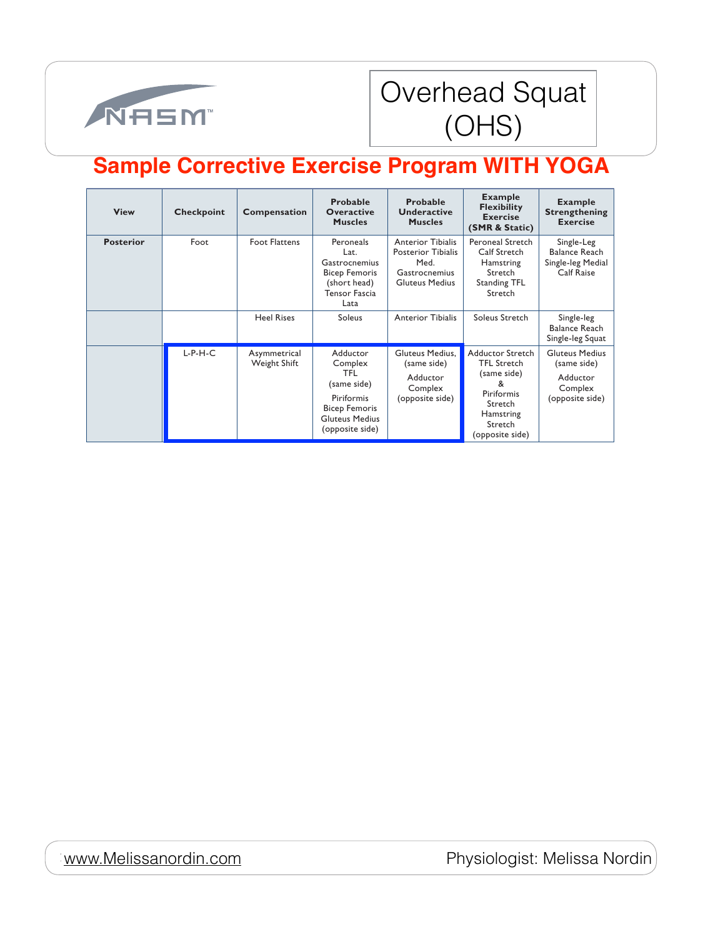

Physiologist: Melissa Nordin



### rhead Squat STORICAL Separations Table (COLIC) Overhead Squat (OHS)

| <b>View</b>      | <b>Checkpoint</b> | Compensation                 | <b>Probable</b><br><b>Overactive</b><br><b>Muscles</b>                                                                      | <b>Probable</b><br><b>Underactive</b><br><b>Muscles</b>                                                        | <b>Example</b><br><b>Flexibility</b><br><b>Exercise</b><br>(SMR & Static)                                                                    | <b>Example</b><br><b>Strengthening</b><br><b>Exercise</b>                      |
|------------------|-------------------|------------------------------|-----------------------------------------------------------------------------------------------------------------------------|----------------------------------------------------------------------------------------------------------------|----------------------------------------------------------------------------------------------------------------------------------------------|--------------------------------------------------------------------------------|
| <b>Posterior</b> | Foot              | <b>Foot Flattens</b>         | Peroneals<br>Lat.<br>Gastrocnemius<br><b>Bicep Femoris</b><br>(short head)<br><b>Tensor Fascia</b><br>Lata                  | <b>Anterior Tibialis</b><br><b>Posterior Tibialis</b><br>Med.<br><b>Gastrocnemius</b><br><b>Gluteus Medius</b> | Peroneal Stretch<br><b>Calf Stretch</b><br><b>Hamstring</b><br>Stretch<br><b>Standing TFL</b><br>Stretch                                     | Single-Leg<br><b>Balance Reach</b><br>Single-leg Medial<br><b>Calf Raise</b>   |
|                  |                   | <b>Heel Rises</b>            | Soleus                                                                                                                      | <b>Anterior Tibialis</b>                                                                                       | Soleus Stretch                                                                                                                               | Single-leg<br><b>Balance Reach</b><br>Single-leg Squat                         |
|                  | $L-P-H-C$         | Asymmetrical<br>Weight Shift | Adductor<br>Complex<br>TFL<br>(same side)<br>Piriformis<br><b>Bicep Femoris</b><br><b>Gluteus Medius</b><br>(opposite side) | Gluteus Medius,<br>(same side)<br>Adductor<br>Complex<br>(opposite side)                                       | <b>Adductor Stretch</b><br><b>TFL Stretch</b><br>(same side)<br>&<br>Piriformis<br>Stretch<br><b>Hamstring</b><br>Stretch<br>(opposite side) | <b>Gluteus Medius</b><br>(same side)<br>Adductor<br>Complex<br>(opposite side) |

## **Sample Corrective Exercise Program WITH YOGA**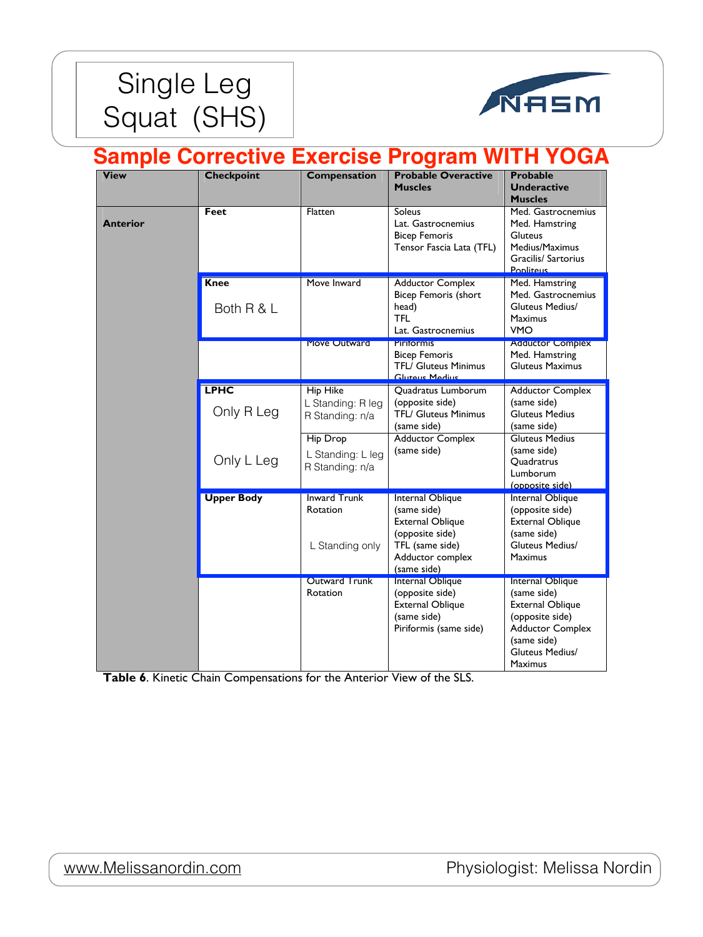



| <b>View</b>     | <b>Checkpoint</b>         | <b>Compensation</b>                                     | <b>Probable Overactive</b><br><b>Muscles</b>                                                                                        | <b>Probable</b><br><b>Underactive</b><br><b>Muscles</b>                                                                                                             |
|-----------------|---------------------------|---------------------------------------------------------|-------------------------------------------------------------------------------------------------------------------------------------|---------------------------------------------------------------------------------------------------------------------------------------------------------------------|
| <b>Anterior</b> | <b>Feet</b>               | Flatten                                                 | <b>Soleus</b><br>Lat. Gastrocnemius<br><b>Bicep Femoris</b><br>Tensor Fascia Lata (TFL)                                             | Med. Gastrocnemius<br>Med. Hamstring<br><b>Gluteus</b><br>Medius/Maximus<br>Gracilis/ Sartorius<br>Popliteus                                                        |
|                 | <b>Knee</b><br>Both R & L | Move Inward                                             | <b>Adductor Complex</b><br><b>Bicep Femoris (short</b><br>head)<br><b>TFL</b><br>Lat. Gastrocnemius                                 | Med. Hamstring<br>Med. Gastrocnemius<br><b>Gluteus Medius/</b><br><b>Maximus</b><br><b>VMO</b>                                                                      |
|                 |                           | <b>Move Outward</b>                                     | <b>PILITOLIMIS</b><br><b>Bicep Femoris</b><br><b>TFL/ Gluteus Minimus</b><br>Glutous Modius                                         | <b>Adductor Complex</b><br>Med. Hamstring<br><b>Gluteus Maximus</b>                                                                                                 |
|                 | <b>LPHC</b><br>Only R Leg | <b>Hip Hike</b><br>L Standing: R leg<br>R Standing: n/a | Quadratus Lumborum<br>(opposite side)<br><b>TFL/ Gluteus Minimus</b><br>(same side)                                                 | <b>Adductor Complex</b><br>(same side)<br><b>Gluteus Medius</b><br>(same side)                                                                                      |
|                 | Only L Leg                | <b>Hip Drop</b><br>L Standing: L leg<br>R Standing: n/a | <b>Adductor Complex</b><br>(same side)                                                                                              | <b>Gluteus Medius</b><br>(same side)<br>Quadratrus<br>Lumborum<br>(opposite side)                                                                                   |
|                 | <b>Upper Body</b>         | <b>Inward Trunk</b><br>Rotation<br>L Standing only      | Internal Oblique<br>(same side)<br><b>External Oblique</b><br>(opposite side)<br>TFL (same side)<br>Adductor complex<br>(same side) | Internal Oblique<br>(opposite side)<br><b>External Oblique</b><br>(same side)<br><b>Gluteus Medius/</b><br><b>Maximus</b>                                           |
|                 |                           | <b>Outward Trunk</b><br>Rotation                        | Internal Oblique<br>(opposite side)<br><b>External Oblique</b><br>(same side)<br>Piriformis (same side)                             | Internal Oblique<br>(same side)<br><b>External Oblique</b><br>(opposite side)<br><b>Adductor Complex</b><br>(same side)<br><b>Gluteus Medius/</b><br><b>Maximus</b> |

**Table 6**. Kinetic Chain Compensations for the Anterior View of the SLS.

#### <u>[www.Melissanordin.com](http://www.Melissanordin.com)</u>

Physiologist: Melissa Nordin

### **Sample Corrective Exercise Program WITH YOGA**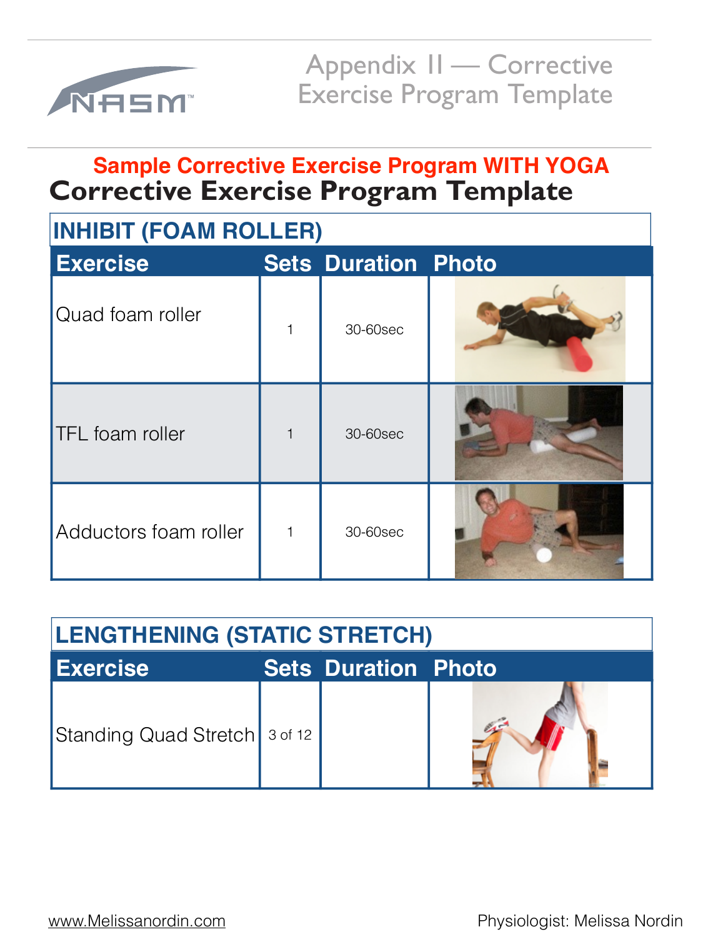

Appendix II — Corrective Exercise Program Template

| <b>INHIBIT (FOAM ROLLER)</b> |             |                            |  |  |  |  |
|------------------------------|-------------|----------------------------|--|--|--|--|
| <b>Exercise</b>              |             | <b>Sets Duration Photo</b> |  |  |  |  |
| Quad foam roller             | $\mathbf 1$ | 30-60sec                   |  |  |  |  |
| <b>TFL</b> foam roller       |             | 30-60sec                   |  |  |  |  |
| Adductors foam roller        | $\mathbf 1$ | 30-60sec                   |  |  |  |  |

## **Corrective Exercise Program Template Sample Corrective Exercise Program WITH YOGA**



[www.Melissanordin.com](http://www.Melissanordin.com) **Physiologist: Melissa Nordin** 

# **LENGTHENING (STATIC STRETCH)**

**Exercise** 

**Sets Duration Photo**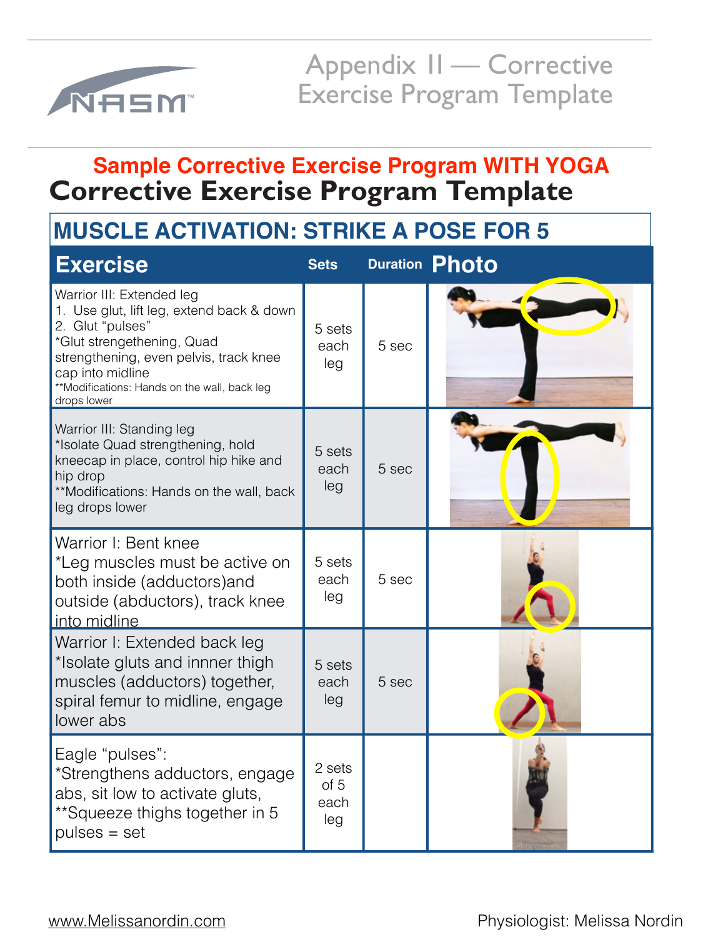

Appendix II — Corrective Exercise Program Template

| <b>Exercise</b>                                                                                                                                                                                                                                       | <b>Sets</b>                   |       | <b>Duration Photo</b> |
|-------------------------------------------------------------------------------------------------------------------------------------------------------------------------------------------------------------------------------------------------------|-------------------------------|-------|-----------------------|
| Warrior III: Extended leg<br>1. Use glut, lift leg, extend back & down<br>2. Glut "pulses"<br>*Glut strengethening, Quad<br>strengthening, even pelvis, track knee<br>cap into midline<br>**Modifications: Hands on the wall, back leg<br>drops lower | 5 sets<br>each<br>leg         | 5 sec |                       |
| Warrior III: Standing leg<br>*Isolate Quad strengthening, hold<br>kneecap in place, control hip hike and<br>hip drop<br>**Modifications: Hands on the wall, back<br>leg drops lower                                                                   | 5 sets<br>each<br>leg         | 5 sec |                       |
| Warrior I: Bent knee<br>*Leg muscles must be active on<br>both inside (adductors) and<br>outside (abductors), track knee<br>into midline                                                                                                              | 5 sets<br>each<br>leg         | 5 sec |                       |
| Warrior I: Extended back leg<br>*Isolate gluts and innner thigh<br>muscles (adductors) together,<br>spiral femur to midline, engage<br>lower abs                                                                                                      | 5 sets<br>each<br>leg         | 5 sec |                       |
| Eagle "pulses":<br>*Strengthens adductors, engage<br>abs, sit low to activate gluts,<br>**Squeeze thighs together in 5<br>$pulses = set$                                                                                                              | 2 sets<br>of 5<br>each<br>leg |       |                       |

[www.Melissanordin.com](http://www.Melissanordin.com) **Physiologist: Melissa Nordin** 

## **Corrective Exercise Program Template Sample Corrective Exercise Program WITH YOGA**

# **MUSCLE ACTIVATION: STRIKE A POSE FOR 5**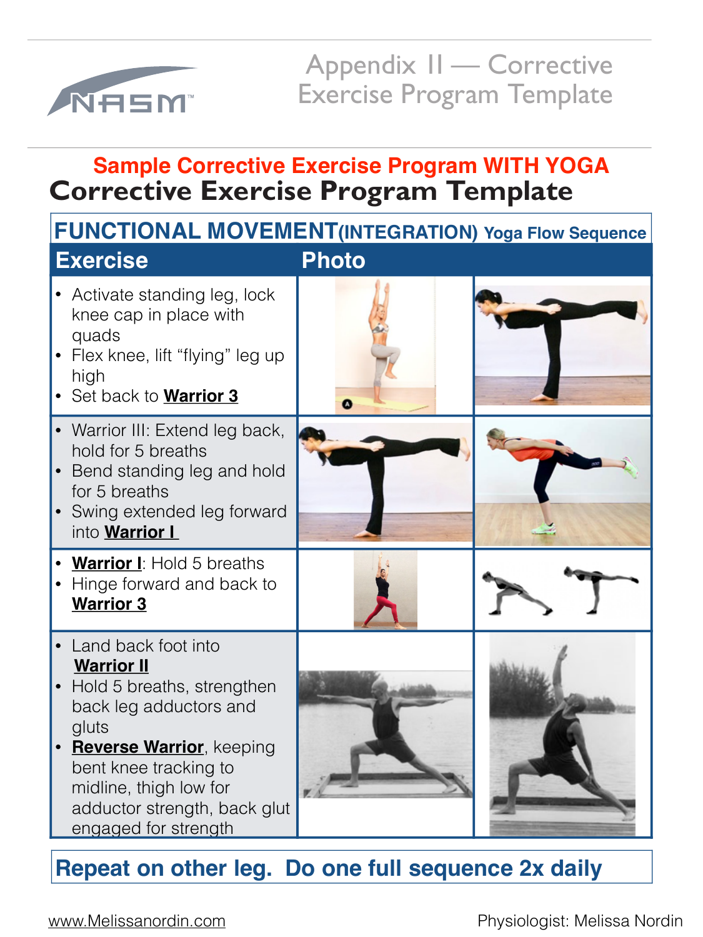

Appendix 1I — Corrective Exercise Program Template



adductor strength, back glut • **Reverse Warrior**, keeping bent knee tracking to midline, thigh low for engaged for strength





# **Corrective Exercise Program Template Sample Corrective Exercise Program WITH YOGA**

back leg adductors and gluts

## **Repeat on other leg. Do one full sequence 2x daily**

[www.Melissanordin.com](http://www.Melissanordin.com) **Physiologist: Melissa Nordin**